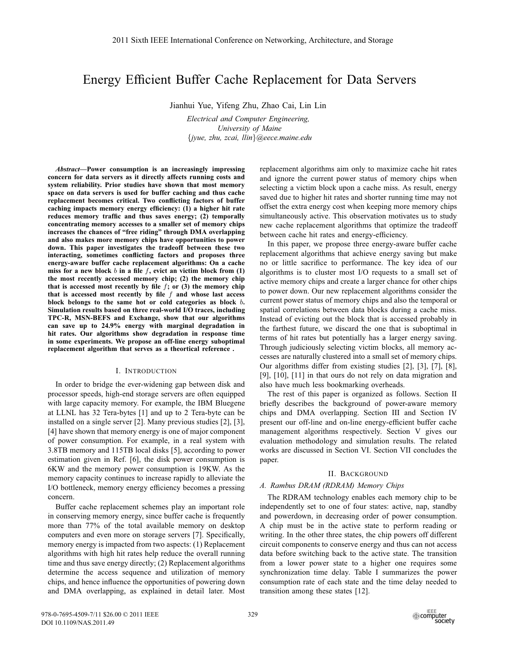# Energy Efficient Buffer Cache Replacement for Data Servers

Jianhui Yue, Yifeng Zhu, Zhao Cai, Lin Lin

*Electrical and Computer Engineering, University of Maine* {*jyue, zhu, zcai, llin*}*@eece.maine.edu*

*Abstract***—Power consumption is an increasingly impressing concern for data servers as it directly affects running costs and system reliability. Prior studies have shown that most memory space on data servers is used for buffer caching and thus cache replacement becomes critical. Two conflicting factors of buffer caching impacts memory energy efficiency: (1) a higher hit rate reduces memory traffic and thus saves energy; (2) temporally concentrating memory accesses to a smaller set of memory chips increases the chances of "free riding" through DMA overlapping and also makes more memory chips have opportunities to power down. This paper investigates the tradeoff between these two interacting, sometimes conflicting factors and proposes three energy-aware buffer cache replacement algorithms: On a cache** miss for a new block  $b$  in a file  $f$ , evict an victim block from  $(1)$ **the most recently accessed memory chip; (2) the memory chip that is accessed most recently by file** f**; or (3) the memory chip that is accessed most recently by file** f **and whose last access block belongs to the same hot or cold categories as block** b**. Simulation results based on three real-world I/O traces, including TPC-R, MSN-BEFS and Exchange, show that our algorithms can save up to 24.9% energy with marginal degradation in hit rates. Our algorithms show degradation in response time in some experiments. We propose an off-line energy suboptimal replacement algorithm that serves as a theortical reference .**

#### I. INTRODUCTION

In order to bridge the ever-widening gap between disk and processor speeds, high-end storage servers are often equipped with large capacity memory. For example, the IBM Bluegene at LLNL has 32 Tera-bytes [1] and up to 2 Tera-byte can be installed on a single server [2]. Many previous studies [2], [3], [4] have shown that memory energy is one of major component of power consumption. For example, in a real system with 3.8TB memory and 115TB local disks [5], according to power estimation given in Ref. [6], the disk power consumption is 6KW and the memory power consumption is 19KW. As the memory capacity continues to increase rapidly to alleviate the I/O bottleneck, memory energy efficiency becomes a pressing concern.

Buffer cache replacement schemes play an important role in conserving memory energy, since buffer cache is frequently more than 77% of the total available memory on desktop computers and even more on storage servers [7]. Specifically, memory energy is impacted from two aspects: (1) Replacement algorithms with high hit rates help reduce the overall running time and thus save energy directly; (2) Replacement algorithms determine the access sequence and utilization of memory chips, and hence influence the opportunities of powering down and DMA overlapping, as explained in detail later. Most replacement algorithms aim only to maximize cache hit rates and ignore the current power status of memory chips when selecting a victim block upon a cache miss. As result, energy saved due to higher hit rates and shorter running time may not offset the extra energy cost when keeping more memory chips simultaneously active. This observation motivates us to study new cache replacement algorithms that optimize the tradeoff between cache hit rates and energy-efficiency.

In this paper, we propose three energy-aware buffer cache replacement algorithms that achieve energy saving but make no or little sacrifice to performance. The key idea of our algorithms is to cluster most I/O requests to a small set of active memory chips and create a larger chance for other chips to power down. Our new replacement algorithms consider the current power status of memory chips and also the temporal or spatial correlations between data blocks during a cache miss. Instead of evicting out the block that is accessed probably in the farthest future, we discard the one that is suboptimal in terms of hit rates but potentially has a larger energy saving. Through judiciously selecting victim blocks, all memory accesses are naturally clustered into a small set of memory chips. Our algorithms differ from existing studies [2], [3], [7], [8], [9], [10], [11] in that ours do not rely on data migration and also have much less bookmarking overheads.

The rest of this paper is organized as follows. Section II briefly describes the background of power-aware memory chips and DMA overlapping. Section III and Section IV present our off-line and on-line energy-efficient buffer cache management algorithms respectively. Section V gives our evaluation methodology and simulation results. The related works are discussed in Section VI. Section VII concludes the paper.

## II. BACKGROUND

#### *A. Rambus DRAM (RDRAM) Memory Chips*

The RDRAM technology enables each memory chip to be independently set to one of four states: active, nap, standby and powerdown, in decreasing order of power consumption. A chip must be in the active state to perform reading or writing. In the other three states, the chip powers off different circuit components to conserve energy and thus can not access data before switching back to the active state. The transition from a lower power state to a higher one requires some synchronization time delay. Table I summarizes the power consumption rate of each state and the time delay needed to transition among these states [12].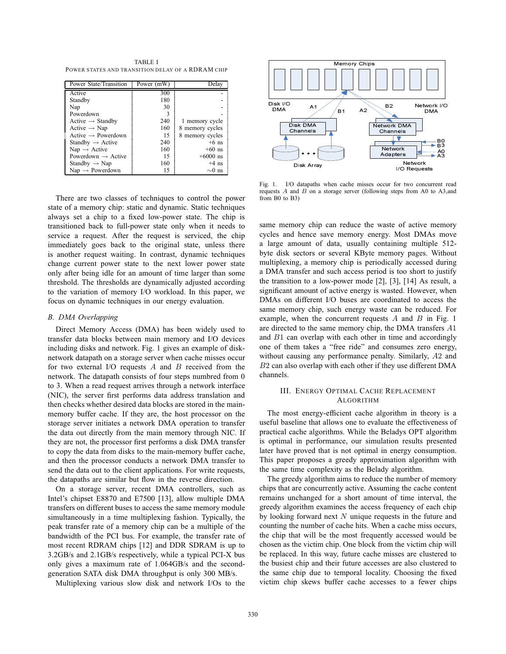TABLE I POWER STATES AND TRANSITION DELAY OF A RDRAM CHIP

| Power State/Transition                    | Power (mW) | Delay           |
|-------------------------------------------|------------|-----------------|
| Active                                    | 300        |                 |
| Standby                                   | 180        |                 |
| Nap                                       | 30         |                 |
| Powerdown                                 |            |                 |
| Active $\rightarrow$ Standby              | 240        | 1 memory cycle  |
| Active $\rightarrow$ Nap                  | 160        | 8 memory cycles |
| Active $\rightarrow$ Powerdown            | 15         | 8 memory cycles |
| Standby $\rightarrow$ Active              | 240        | $+6$ ns         |
| Nap $\rightarrow$ Active                  | 160        | $+60$ ns        |
| Powerdown $\rightarrow$ Active            | 15         | $+6000$ ns      |
| Standby $\rightarrow$ Nap                 | 160        | $+4$ ns         |
| $\text{Nap} \rightarrow \text{Powerdown}$ | 15         | $\sim 0$ ns     |

There are two classes of techniques to control the power state of a memory chip: static and dynamic. Static techniques always set a chip to a fixed low-power state. The chip is transitioned back to full-power state only when it needs to service a request. After the request is serviced, the chip immediately goes back to the original state, unless there is another request waiting. In contrast, dynamic techniques change current power state to the next lower power state only after being idle for an amount of time larger than some threshold. The thresholds are dynamically adjusted according to the variation of memory I/O workload. In this paper, we focus on dynamic techniques in our energy evaluation.

#### *B. DMA Overlapping*

Direct Memory Access (DMA) has been widely used to transfer data blocks between main memory and I/O devices including disks and network. Fig. 1 gives an example of disknetwork datapath on a storage server when cache misses occur for two external I/O requests  $A$  and  $B$  received from the network. The datapath consists of four steps numbred from 0 to 3. When a read request arrives through a network interface (NIC), the server first performs data address translation and then checks whether desired data blocks are stored in the mainmemory buffer cache. If they are, the host processor on the storage server initiates a network DMA operation to transfer the data out directly from the main memory through NIC. If they are not, the processor first performs a disk DMA transfer to copy the data from disks to the main-memory buffer cache, and then the processor conducts a network DMA transfer to send the data out to the client applications. For write requests, the datapaths are similar but flow in the reverse direction.

On a storage server, recent DMA controllers, such as Intel's chipset E8870 and E7500 [13], allow multiple DMA transfers on different buses to access the same memory module simultaneously in a time multiplexing fashion. Typically, the peak transfer rate of a memory chip can be a multiple of the bandwidth of the PCI bus. For example, the transfer rate of most recent RDRAM chips [12] and DDR SDRAM is up to 3.2GB/s and 2.1GB/s respectively, while a typical PCI-X bus only gives a maximum rate of 1.064GB/s and the secondgeneration SATA disk DMA throughput is only 300 MB/s.

Multiplexing various slow disk and network I/Os to the



Fig. 1. I/O datapaths when cache misses occur for two concurrent read requests  $A$  and  $B$  on a storage server (following steps from A0 to A3,and from B0 to B3)

same memory chip can reduce the waste of active memory cycles and hence save memory energy. Most DMAs move a large amount of data, usually containing multiple 512 byte disk sectors or several KByte memory pages. Without multiplexing, a memory chip is periodically accessed during a DMA transfer and such access period is too short to justify the transition to a low-power mode [2], [3], [14] As result, a significant amount of active energy is wasted. However, when DMAs on different I/O buses are coordinated to access the same memory chip, such energy waste can be reduced. For example, when the concurrent requests  $A$  and  $B$  in Fig. 1 are directed to the same memory chip, the DMA transfers A1 and B1 can overlap with each other in time and accordingly one of them takes a "free ride" and consumes zero energy, without causing any performance penalty. Similarly, A2 and B2 can also overlap with each other if they use different DMA channels.

## III. ENERGY OPTIMAL CACHE REPLACEMENT ALGORITHM

The most energy-efficient cache algorithm in theory is a useful baseline that allows one to evaluate the effectiveness of practical cache algorithms. While the Beladys OPT algorithm is optimal in performance, our simulation results presented later have proved that is not optimal in energy consumption. This paper proposes a greedy approximation algorithm with the same time complexity as the Belady algorithm.

The greedy algorithm aims to reduce the number of memory chips that are concurrently active. Assuming the cache content remains unchanged for a short amount of time interval, the greedy algorithm examines the access frequency of each chip by looking forward next  $N$  unique requests in the future and counting the number of cache hits. When a cache miss occurs, the chip that will be the most frequently accessed would be chosen as the victim chip. One block from the victim chip will be replaced. In this way, future cache misses are clustered to the busiest chip and their future accesses are also clustered to the same chip due to temporal locality. Choosing the fixed victim chip skews buffer cache accesses to a fewer chips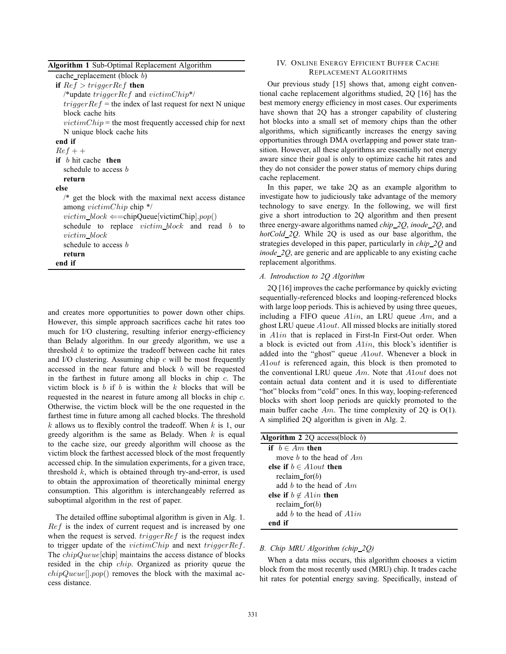|  |  | <b>Algorithm 1</b> Sub-Optimal Replacement Algorithm |  |  |  |
|--|--|------------------------------------------------------|--|--|--|
|--|--|------------------------------------------------------|--|--|--|

cache replacement (block b) **if** Ref > triggerRef **then** /\*update  $triggerRef$  and  $victimChip*$ /  $triggerRef$  = the index of last request for next N unique block cache hits  $victimChip$  = the most frequently accessed chip for next N unique block cache hits **end if**  $Re f + +$ **if** b hit cache **then** schedule to access b **return else** /\* get the block with the maximal next access distance among victimChip chip \*/  $victim\_block \Leftarrow$ =chipQueue[victimChip].pop() schedule to replace  $victim\_block$  and read  $b$  to victim block schedule to access b **return end if**

and creates more opportunities to power down other chips. However, this simple approach sacrifices cache hit rates too much for I/O clustering, resulting inferior energy-efficiency than Belady algorithm. In our greedy algorithm, we use a threshold  $k$  to optimize the tradeoff between cache hit rates and I/O clustering. Assuming chip  $c$  will be most frequently accessed in the near future and block b will be requested in the farthest in future among all blocks in chip  $c$ . The victim block is  $b$  if  $b$  is within the  $k$  blocks that will be requested in the nearest in future among all blocks in chip c. Otherwise, the victim block will be the one requested in the farthest time in future among all cached blocks. The threshold  $k$  allows us to flexibly control the tradeoff. When  $k$  is 1, our greedy algorithm is the same as Belady. When  $k$  is equal to the cache size, our greedy algorithm will choose as the victim block the farthest accessed block of the most frequently accessed chip. In the simulation experiments, for a given trace, threshold  $k$ , which is obtained through try-and-error, is used to obtain the approximation of theoretically minimal energy consumption. This algorithm is interchangeably referred as suboptimal algorithm in the rest of paper.

The detailed offline suboptimal algorithm is given in Alg. 1. Ref is the index of current request and is increased by one when the request is served. triggerRef is the request index to trigger update of the *victimChip* and next *triggerRef*. The *chipQueue*[chip] maintains the access distance of blocks resided in the chip chip. Organized as priority queue the  $chipQueue$ []. $pop()$  removes the block with the maximal access distance.

## IV. ONLINE ENERGY EFFICIENT BUFFER CACHE REPLACEMENT ALGORITHMS

Our previous study [15] shows that, among eight conventional cache replacement algorithms studied, 2Q [16] has the best memory energy efficiency in most cases. Our experiments have shown that 2Q has a stronger capability of clustering hot blocks into a small set of memory chips than the other algorithms, which significantly increases the energy saving opportunities through DMA overlapping and power state transition. However, all these algorithms are essentially not energy aware since their goal is only to optimize cache hit rates and they do not consider the power status of memory chips during cache replacement.

In this paper, we take 2Q as an example algorithm to investigate how to judiciously take advantage of the memory technology to save energy. In the following, we will first give a short introduction to 2Q algorithm and then present three energy-aware algorithms named *chip 2Q*, *inode 2Q*, and *hotCold 2Q*. While 2Q is used as our base algorithm, the strategies developed in this paper, particularly in *chip 2Q* and *inode 2Q*, are generic and are applicable to any existing cache replacement algorithms.

## *A. Introduction to 2Q Algorithm*

2Q [16] improves the cache performance by quickly evicting sequentially-referenced blocks and looping-referenced blocks with large loop periods. This is achieved by using three queues, including a FIFO queue  $A1in$ , an LRU queue  $Am$ , and a ghost LRU queue A1out. All missed blocks are initially stored in A1in that is replaced in First-In First-Out order. When a block is evicted out from  $A1in$ , this block's identifier is added into the "ghost" queue A1out. Whenever a block in A1out is referenced again, this block is then promoted to the conventional LRU queue  $Am$ . Note that  $A1out$  does not contain actual data content and it is used to differentiate "hot" blocks from "cold" ones. In this way, looping-referenced blocks with short loop periods are quickly promoted to the main buffer cache  $Am$ . The time complexity of 2O is  $O(1)$ . A simplified 2Q algorithm is given in Alg. 2.

| <b>Algorithm 2</b> 2Q access(block b) |  |  |  |  |
|---------------------------------------|--|--|--|--|
| if $b \in Am$ then                    |  |  |  |  |
| move <i>b</i> to the head of $Am$     |  |  |  |  |
| else if $b \in$ Alout then            |  |  |  |  |
| reclaim for $(b)$                     |  |  |  |  |
| add <i>b</i> to the head of $Am$      |  |  |  |  |
| else if $b \notin A1in$ then          |  |  |  |  |
| reclaim_for $(b)$                     |  |  |  |  |
| add b to the head of $A1in$           |  |  |  |  |
| end if                                |  |  |  |  |

## *B. Chip MRU Algorithm (chip 2Q)*

When a data miss occurs, this algorithm chooses a victim block from the most recently used (MRU) chip. It trades cache hit rates for potential energy saving. Specifically, instead of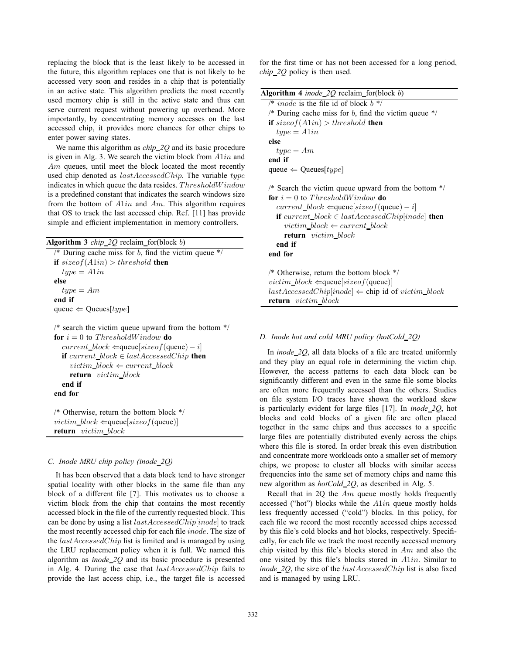replacing the block that is the least likely to be accessed in the future, this algorithm replaces one that is not likely to be accessed very soon and resides in a chip that is potentially in an active state. This algorithm predicts the most recently used memory chip is still in the active state and thus can serve current request without powering up overhead. More importantly, by concentrating memory accesses on the last accessed chip, it provides more chances for other chips to enter power saving states.

We name this algorithm as *chip 2Q* and its basic procedure is given in Alg. 3. We search the victim block from  $A1in$  and Am queues, until meet the block located the most recently used chip denoted as lastAccessedChip. The variable type indicates in which queue the data resides.  $ThresholdWindow$ is a predefined constant that indicates the search windows size from the bottom of  $A1in$  and  $Am$ . This algorithm requires that OS to track the last accessed chip. Ref. [11] has provide simple and efficient implementation in memory controllers.

**Algorithm 3** *chip 2Q* reclaim for(block b)

 $/*$  During cache miss for b, find the victim queue  $*/$ **if**  $sizeof(Alin) > threshold$  **then**  $type = A1in$ **else**  $type = Am$ **end if** queue  $\Leftarrow$  Queues[type]  $/*$  search the victim queue upward from the bottom  $*/$ **for**  $i = 0$  to ThresholdWindow **do**  $current\_block \Leftarrow queue[sizeof(queue) - i]$ **if** current\_block  $\in$  lastAccessedChip **then** victim block  $\Leftarrow$  current block **return** victim block

**end if end for**

/\* Otherwise, return the bottom block \*/  $victim\_block \Leftarrow queue[sizeof(queue)]$ **return** victim block

# *C. Inode MRU chip policy (inode 2Q)*

It has been observed that a data block tend to have stronger spatial locality with other blocks in the same file than any block of a different file [7]. This motivates us to choose a victim block from the chip that contains the most recently accessed block in the file of the currently requested block. This can be done by using a list  $lastAccessedChip[inode]$  to track the most recently accessed chip for each file inode. The size of the *lastAccessedChip* list is limited and is managed by using the LRU replacement policy when it is full. We named this algorithm as *inode 2Q* and its basic procedure is presented in Alg. 4. During the case that lastAccessedChip fails to provide the last access chip, i.e., the target file is accessed for the first time or has not been accessed for a long period, *chip 2Q* policy is then used.

| Algorithm 4 <i>inode_2Q</i> reclaim_for(block $b$ )                                                                                                                                                                                                                                                                                                  |  |  |  |  |
|------------------------------------------------------------------------------------------------------------------------------------------------------------------------------------------------------------------------------------------------------------------------------------------------------------------------------------------------------|--|--|--|--|
| /* <i>inode</i> is the file id of block $b$ */                                                                                                                                                                                                                                                                                                       |  |  |  |  |
| /* During cache miss for $b$ , find the victim queue $*/$                                                                                                                                                                                                                                                                                            |  |  |  |  |
| <b>if</b> $sizeof(A1in) > threshold$ then                                                                                                                                                                                                                                                                                                            |  |  |  |  |
| $type = A1in$                                                                                                                                                                                                                                                                                                                                        |  |  |  |  |
| else                                                                                                                                                                                                                                                                                                                                                 |  |  |  |  |
| $type = Am$                                                                                                                                                                                                                                                                                                                                          |  |  |  |  |
| end if                                                                                                                                                                                                                                                                                                                                               |  |  |  |  |
| queue $\Leftarrow$ Queues[type]                                                                                                                                                                                                                                                                                                                      |  |  |  |  |
| /* Search the victim queue upward from the bottom $\frac{k}{t}$<br><b>for</b> $i = 0$ to <i>ThresholdWindow</i> <b>do</b><br>$current\_block \Leftarrow queue[sizeof(queue) - i]$<br><b>if</b> current_block $\in$ lastAccessedChip[inode] <b>then</b><br>victim block $\Leftarrow$ current block<br><b>return</b> victim block<br>end if<br>end for |  |  |  |  |
| $\frac{*}{*}$ Otherwise, return the bottom block $\frac{*}{*}$                                                                                                                                                                                                                                                                                       |  |  |  |  |
| <i>victim_block</i> $\Leftarrow$ queue $ sizeof$ (queue)                                                                                                                                                                                                                                                                                             |  |  |  |  |
| $lastAccessedChip[inode] \Leftarrow$ chip id of victim_block                                                                                                                                                                                                                                                                                         |  |  |  |  |
| return victim_block                                                                                                                                                                                                                                                                                                                                  |  |  |  |  |

## *D. Inode hot and cold MRU policy (hotCold 2Q)*

In *inode 2Q*, all data blocks of a file are treated uniformly and they play an equal role in determining the victim chip. However, the access patterns to each data block can be significantly different and even in the same file some blocks are often more frequently accessed than the others. Studies on file system I/O traces have shown the workload skew is particularly evident for large files [17]. In *inode 2Q*, hot blocks and cold blocks of a given file are often placed together in the same chips and thus accesses to a specific large files are potentially distributed evenly across the chips where this file is stored. In order break this even distribution and concentrate more workloads onto a smaller set of memory chips, we propose to cluster all blocks with similar access frequencies into the same set of memory chips and name this new algorithm as *hotCold 2Q*, as described in Alg. 5.

Recall that in 2Q the  $Am$  queue mostly holds frequently accessed ("hot") blocks while the A1in queue mostly holds less frequently accessed ("cold") blocks. In this policy, for each file we record the most recently accessed chips accessed by this file's cold blocks and hot blocks, respectively. Specifically, for each file we track the most recently accessed memory chip visited by this file's blocks stored in  $Am$  and also the one visited by this file's blocks stored in A1in. Similar to *inode 2Q*, the size of the lastAccessedChip list is also fixed and is managed by using LRU.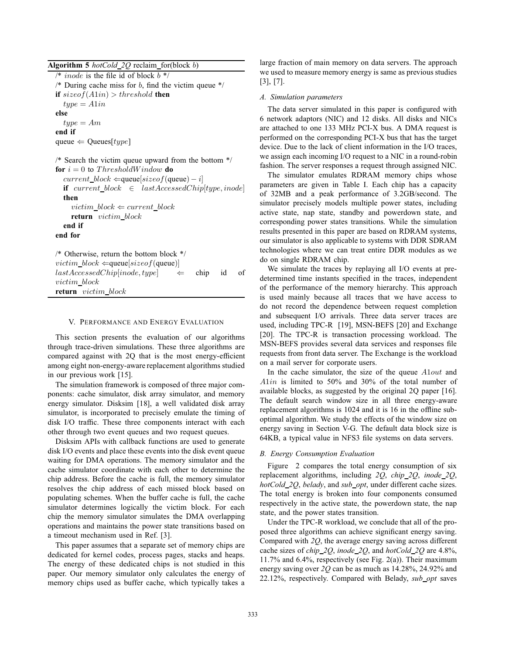**Algorithm 5** *hotCold 2Q* reclaim for(block b)

/\* *inode* is the file id of block  $b$  \*/ /\* During cache miss for  $b$ , find the victim queue  $*/$ **if**  $sizeof(Alin) > threshold$  **then**  $type = A1in$ **else**  $type = Am$ **end if** queue  $\Leftarrow$  Queues[type] /\* Search the victim queue upward from the bottom \*/ **for**  $i = 0$  to ThresholdWindow **do** current block  $\Leftarrow$ queue[sizeof(queue) – i] **if**  $current\_block \in lastAccessedChip[type,inode]$ **then**  $victim\_block \Leftarrow current\_block$ **return** victim block **end if end for** /\* Otherwise, return the bottom block \*/  $victim\_block \Leftarrow$ queue[ $sizeof$ (queue)]  $lastAccessedChip[inode, type] \Leftrightarrow \text{chip} \quad \text{id} \quad \text{of}$ victim block **return** victim block

## V. PERFORMANCE AND ENERGY EVALUATION

This section presents the evaluation of our algorithms through trace-driven simulations. These three algorithms are compared against with 2Q that is the most energy-efficient among eight non-energy-aware replacement algorithms studied in our previous work [15].

The simulation framework is composed of three major components: cache simulator, disk array simulator, and memory energy simulator. Disksim [18], a well validated disk array simulator, is incorporated to precisely emulate the timing of disk I/O traffic. These three components interact with each other through two event queues and two request queues.

Disksim APIs with callback functions are used to generate disk I/O events and place these events into the disk event queue waiting for DMA operations. The memory simulator and the cache simulator coordinate with each other to determine the chip address. Before the cache is full, the memory simulator resolves the chip address of each missed block based on populating schemes. When the buffer cache is full, the cache simulator determines logically the victim block. For each chip the memory simulator simulates the DMA overlapping operations and maintains the power state transitions based on a timeout mechanism used in Ref. [3].

This paper assumes that a separate set of memory chips are dedicated for kernel codes, process pages, stacks and heaps. The energy of these dedicated chips is not studied in this paper. Our memory simulator only calculates the energy of memory chips used as buffer cache, which typically takes a

large fraction of main memory on data servers. The approach we used to measure memory energy is same as previous studies [3], [7].

#### *A. Simulation parameters*

The data server simulated in this paper is configured with 6 network adaptors (NIC) and 12 disks. All disks and NICs are attached to one 133 MHz PCI-X bus. A DMA request is performed on the corresponding PCI-X bus that has the target device. Due to the lack of client information in the I/O traces, we assign each incoming I/O request to a NIC in a round-robin fashion. The server responses a request through assigned NIC.

The simulator emulates RDRAM memory chips whose parameters are given in Table I. Each chip has a capacity of 32MB and a peak performance of 3.2GB/second. The simulator precisely models multiple power states, including active state, nap state, standby and powerdown state, and corresponding power states transitions. While the simulation results presented in this paper are based on RDRAM systems, our simulator is also applicable to systems with DDR SDRAM technologies where we can treat entire DDR modules as we do on single RDRAM chip.

We simulate the traces by replaying all I/O events at predetermined time instants specified in the traces, independent of the performance of the memory hierarchy. This approach is used mainly because all traces that we have access to do not record the dependence between request completion and subsequent I/O arrivals. Three data server traces are used, including TPC-R [19], MSN-BEFS [20] and Exchange [20]. The TPC-R is transaction processing workload. The MSN-BEFS provides several data services and responses file requests from front data server. The Exchange is the workload on a mail server for corporate users.

In the cache simulator, the size of the queue A1out and A1in is limited to 50% and 30% of the total number of available blocks, as suggested by the original 2Q paper [16]. The default search window size in all three energy-aware replacement algorithms is 1024 and it is 16 in the offline suboptimal algorithm. We study the effects of the window size on energy saving in Section V-G. The default data block size is 64KB, a typical value in NFS3 file systems on data servers.

## *B. Energy Consumption Evaluation*

Figure 2 compares the total energy consumption of six replacement algorithms, including *2Q*, *chip 2Q*, *inode 2Q*, *hotCold 2Q*, *belady*, and *sub opt*, under different cache sizes. The total energy is broken into four components consumed respectively in the active state, the powerdown state, the nap state, and the power states transition.

Under the TPC-R workload, we conclude that all of the proposed three algorithms can achieve significant energy saving. Compared with *2Q*, the average energy saving across different cache sizes of *chip 2Q*, *inode 2Q*, and *hotCold 2Q* are 4.8%, 11.7% and 6.4%, respectively (see Fig. 2(a)). Their maximum energy saving over *2Q* can be as much as 14.28%, 24.92% and 22.12%, respectively. Compared with Belady, *sub opt* saves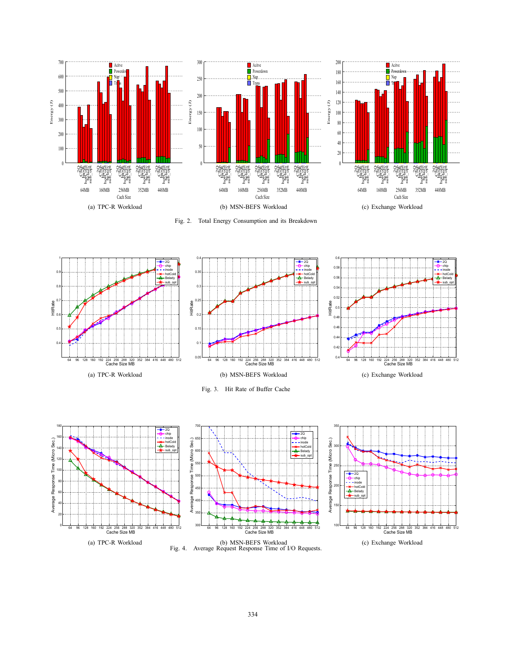

Fig. 2. Total Energy Consumption and its Breakdown



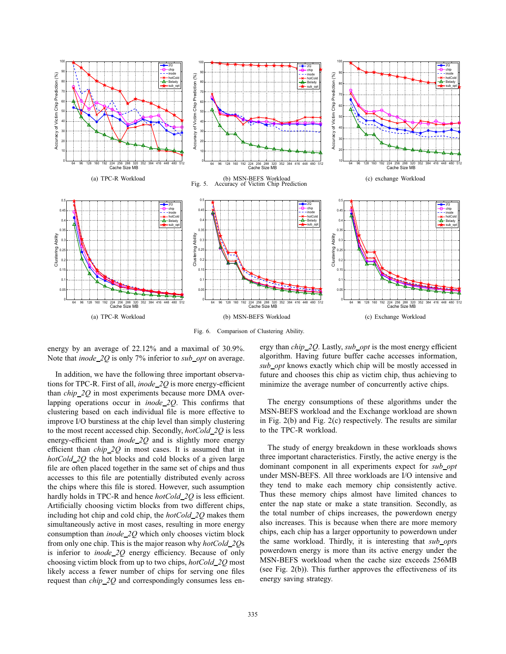

Fig. 6. Comparison of Clustering Ability.

energy by an average of 22.12% and a maximal of 30.9%. Note that *inode 2Q* is only 7% inferior to *sub opt* on average.

In addition, we have the following three important observations for TPC-R. First of all, *inode 2Q* is more energy-efficient than *chip 2Q* in most experiments because more DMA overlapping operations occur in *inode 2Q*. This confirms that clustering based on each individual file is more effective to improve I/O burstiness at the chip level than simply clustering to the most recent accessed chip. Secondly, *hotCold 2Q* is less energy-efficient than *inode 2Q* and is slightly more energy efficient than *chip 2Q* in most cases. It is assumed that in *hotCold 2Q* the hot blocks and cold blocks of a given large file are often placed together in the same set of chips and thus accesses to this file are potentially distributed evenly across the chips where this file is stored. However, such assumption hardly holds in TPC-R and hence *hotCold 2Q* is less efficient. Artificially choosing victim blocks from two different chips, including hot chip and cold chip, the *hotCold 2Q* makes them simultaneously active in most cases, resulting in more energy consumption than *inode 2Q* which only chooses victim block from only one chip. This is the major reason why *hotCold 2Q*s is inferior to *inode 2Q* energy efficiency. Because of only choosing victim block from up to two chips, *hotCold 2Q* most likely access a fewer number of chips for serving one files request than *chip 2Q* and correspondingly consumes less energy than *chip 2Q*. Lastly, *sub opt* is the most energy efficient algorithm. Having future buffer cache accesses information, *sub opt* knows exactly which chip will be mostly accessed in future and chooses this chip as victim chip, thus achieving to minimize the average number of concurrently active chips.

The energy consumptions of these algorithms under the MSN-BEFS workload and the Exchange workload are shown in Fig. 2(b) and Fig. 2(c) respectively. The results are similar to the TPC-R workload.

The study of energy breakdown in these workloads shows three important characteristics. Firstly, the active energy is the dominant component in all experiments expect for *sub opt* under MSN-BEFS. All three workloads are I/O intensive and they tend to make each memory chip consistently active. Thus these memory chips almost have limited chances to enter the nap state or make a state transition. Secondly, as the total number of chips increases, the powerdown energy also increases. This is because when there are more memory chips, each chip has a larger opportunity to powerdown under the same workload. Thirdly, it is interesting that *sub opt*s powerdown energy is more than its active energy under the MSN-BEFS workload when the cache size exceeds 256MB (see Fig. 2(b)). This further approves the effectiveness of its energy saving strategy.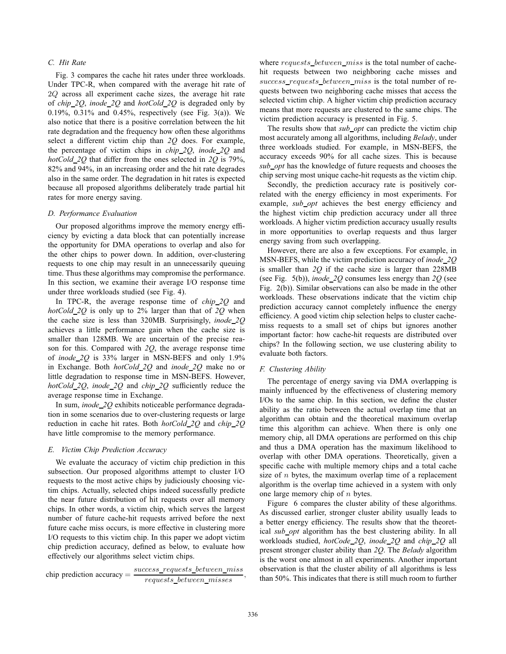#### *C. Hit Rate*

Fig. 3 compares the cache hit rates under three workloads. Under TPC-R, when compared with the average hit rate of 2Q across all experiment cache sizes, the average hit rate of *chip 2Q*, *inode 2Q* and *hotCold 2Q* is degraded only by 0.19%, 0.31% and 0.45%, respectively (see Fig. 3(a)). We also notice that there is a positive correlation between the hit rate degradation and the frequency how often these algorithms select a different victim chip than *2Q* does. For example, the percentage of victim chips in *chip 2Q*, *inode 2Q* and *hotCold 2Q* that differ from the ones selected in *2Q* is 79%, 82% and 94%, in an increasing order and the hit rate degrades also in the same order. The degradation in hit rates is expected because all proposed algorithms deliberately trade partial hit rates for more energy saving.

## *D. Performance Evaluation*

Our proposed algorithms improve the memory energy efficiency by evicting a data block that can potentially increase the opportunity for DMA operations to overlap and also for the other chips to power down. In addition, over-clustering requests to one chip may result in an unnecessarily queuing time. Thus these algorithms may compromise the performance. In this section, we examine their average I/O response time under three workloads studied (see Fig. 4).

In TPC-R, the average response time of *chip 2Q* and *hotCold 2Q* is only up to 2% larger than that of *2Q* when the cache size is less than 320MB. Surprisingly, *inode 2Q* achieves a little performance gain when the cache size is smaller than 128MB. We are uncertain of the precise reason for this. Compared with *2Q*, the average response time of *inode 2Q* is 33% larger in MSN-BEFS and only 1.9% in Exchange. Both *hotCold 2Q* and *inode 2Q* make no or little degradation to response time in MSN-BEFS. However, *hotCold 2Q*, *inode 2Q* and *chip 2Q* sufficiently reduce the average response time in Exchange.

In sum, *inode 2Q* exhibits noticeable performance degradation in some scenarios due to over-clustering requests or large reduction in cache hit rates. Both *hotCold 2Q* and *chip 2Q* have little compromise to the memory performance.

## *E. Victim Chip Prediction Accuracy*

We evaluate the accuracy of victim chip prediction in this subsection. Our proposed algorithms attempt to cluster I/O requests to the most active chips by judiciously choosing victim chips. Actually, selected chips indeed sucessfully predicte the near future distribution of hit requests over all memory chips. In other words, a victim chip, which serves the largest number of future cache-hit requests arrived before the next future cache miss occurs, is more effective in clustering more I/O requests to this victim chip. In this paper we adopt victim chip prediction accuracy, defined as below, to evaluate how effectively our algorithms select victim chips.

$$
\text{chip prediction accuracy} = \frac{success\_requests\_between\_miss}{requests\_between\_misses},
$$

where requests\_between\_miss is the total number of cachehit requests between two neighboring cache misses and success\_requests\_between\_miss is the total number of requests between two neighboring cache misses that access the selected victim chip. A higher victim chip prediction accuracy means that more requests are clustered to the same chips. The victim prediction accuracy is presented in Fig. 5.

The results show that *sub opt* can predicte the victim chip most accurately among all algorithms, including *Belady*, under three workloads studied. For example, in MSN-BEFS, the accuracy exceeds 90% for all cache sizes. This is because *sub opt* has the knowledge of future requests and chooses the chip serving most unique cache-hit requests as the victim chip.

Secondly, the prediction accuracy rate is positively correlated with the energy efficiency in most experiments. For example, *sub\_opt* achieves the best energy efficiency and the highest victim chip prediction accuracy under all three workloads. A higher victim prediction accuracy usually results in more opportunities to overlap requests and thus larger energy saving from such overlapping.

However, there are also a few exceptions. For example, in MSN-BEFS, while the victim prediction accuracy of *inode 2Q* is smaller than *2Q* if the cache size is larger than 228MB (see Fig. 5(b)), *inode 2Q* consumes less energy than *2Q* (see Fig. 2(b)). Similar observations can also be made in the other workloads. These observations indicate that the victim chip prediction accuracy cannot completely influence the energy efficiency. A good victim chip selection helps to cluster cachemiss requests to a small set of chips but ignores another important factor: how cache-hit requests are distributed over chips? In the following section, we use clustering ability to evaluate both factors.

## *F. Clustering Ability*

The percentage of energy saving via DMA overlapping is mainly influenced by the effectiveness of clustering memory I/Os to the same chip. In this section, we define the cluster ability as the ratio between the actual overlap time that an algorithm can obtain and the theoretical maximum overlap time this algorithm can achieve. When there is only one memory chip, all DMA operations are performed on this chip and thus a DMA operation has the maximum likelihood to overlap with other DMA operations. Theoretically, given a specific cache with multiple memory chips and a total cache size of  $n$  bytes, the maximum overlap time of a replacement algorithm is the overlap time achieved in a system with only one large memory chip of  $n$  bytes.

Figure 6 compares the cluster ability of these algorithms. As discussed earlier, stronger cluster ability usually leads to a better energy efficiency. The results show that the theoretical *sub opt* algorithm has the best clustering ability. In all workloads studied, *hotCode 2Q*, *inode 2Q* and *chip 2Q* all present stronger cluster ability than *2Q*. The *Belady* algorithm is the worst one almost in all experiments. Another important observation is that the cluster ability of all algorithms is less than 50%. This indicates that there is still much room to further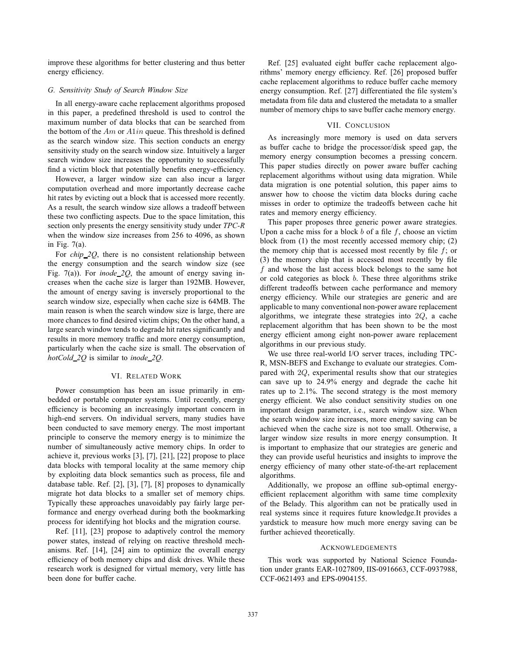improve these algorithms for better clustering and thus better energy efficiency.

## *G. Sensitivity Study of Search Window Size*

In all energy-aware cache replacement algorithms proposed in this paper, a predefined threshold is used to control the maximum number of data blocks that can be searched from the bottom of the  $Am$  or  $Alin$  queue. This threshold is defined as the search window size. This section conducts an energy sensitivity study on the search window size. Intuitively a larger search window size increases the opportunity to successfully find a victim block that potentially benefits energy-efficiency.

However, a larger window size can also incur a larger computation overhead and more importantly decrease cache hit rates by evicting out a block that is accessed more recently. As a result, the search window size allows a tradeoff between these two conflicting aspects. Due to the space limitation, this section only presents the energy sensitivity study under *TPC-R* when the window size increases from 256 to 4096, as shown in Fig. 7(a).

For *chip 2Q*, there is no consistent relationship between the energy consumption and the search window size (see Fig. 7(a)). For *inode\_2Q*, the amount of energy saving increases when the cache size is larger than 192MB. However, the amount of energy saving is inversely proportional to the search window size, especially when cache size is 64MB. The main reason is when the search window size is large, there are more chances to find desired victim chips; On the other hand, a large search window tends to degrade hit rates significantly and results in more memory traffic and more energy consumption, particularly when the cache size is small. The observation of *hotCold 2Q* is similar to *inode 2Q*.

## VI. RELATED WORK

Power consumption has been an issue primarily in embedded or portable computer systems. Until recently, energy efficiency is becoming an increasingly important concern in high-end servers. On individual servers, many studies have been conducted to save memory energy. The most important principle to conserve the memory energy is to minimize the number of simultaneously active memory chips. In order to achieve it, previous works [3], [7], [21], [22] propose to place data blocks with temporal locality at the same memory chip by exploiting data block semantics such as process, file and database table. Ref. [2], [3], [7], [8] proposes to dynamically migrate hot data blocks to a smaller set of memory chips. Typically these approaches unavoidably pay fairly large performance and energy overhead during both the bookmarking process for identifying hot blocks and the migration course.

Ref. [11], [23] propose to adaptively control the memory power states, instead of relying on reactive threshold mechanisms. Ref. [14], [24] aim to optimize the overall energy efficiency of both memory chips and disk drives. While these research work is designed for virtual memory, very little has been done for buffer cache.

Ref. [25] evaluated eight buffer cache replacement algorithms' memory energy efficiency. Ref. [26] proposed buffer cache replacement algorithms to reduce buffer cache memory energy consumption. Ref. [27] differentiated the file system's metadata from file data and clustered the metadata to a smaller number of memory chips to save buffer cache memory energy.

#### VII. CONCLUSION

As increasingly more memory is used on data servers as buffer cache to bridge the processor/disk speed gap, the memory energy consumption becomes a pressing concern. This paper studies directly on power aware buffer caching replacement algorithms without using data migration. While data migration is one potential solution, this paper aims to answer how to choose the victim data blocks during cache misses in order to optimize the tradeoffs between cache hit rates and memory energy efficiency.

This paper proposes three generic power aware strategies. Upon a cache miss for a block  $b$  of a file  $f$ , choose an victim block from (1) the most recently accessed memory chip; (2) the memory chip that is accessed most recently by file  $f$ ; or (3) the memory chip that is accessed most recently by file f and whose the last access block belongs to the same hot or cold categories as block b. These three algorithms strike different tradeoffs between cache performance and memory energy efficiency. While our strategies are generic and are applicable to many conventional non-power aware replacement algorithms, we integrate these strategies into 2Q, a cache replacement algorithm that has been shown to be the most energy efficient among eight non-power aware replacement algorithms in our previous study.

We use three real-world I/O server traces, including TPC-R, MSN-BEFS and Exchange to evaluate our strategies. Compared with 2Q, experimental results show that our strategies can save up to 24.9% energy and degrade the cache hit rates up to 2.1%. The second strategy is the most memory energy efficient. We also conduct sensitivity studies on one important design parameter, i.e., search window size. When the search window size increases, more energy saving can be achieved when the cache size is not too small. Otherwise, a larger window size results in more energy consumption. It is important to emphasize that our strategies are generic and they can provide useful heuristics and insights to improve the energy efficiency of many other state-of-the-art replacement algorithms.

Additionally, we propose an offline sub-optimal energyefficient replacement algorithm with same time complexity of the Belady. This algorithm can not be pratically used in real systems since it requires future knowledge.It provides a yardstick to measure how much more energy saving can be further achieved theoretically.

### ACKNOWLEDGEMENTS

This work was supported by National Science Foundation under grants EAR-1027809, IIS-0916663, CCF-0937988, CCF-0621493 and EPS-0904155.